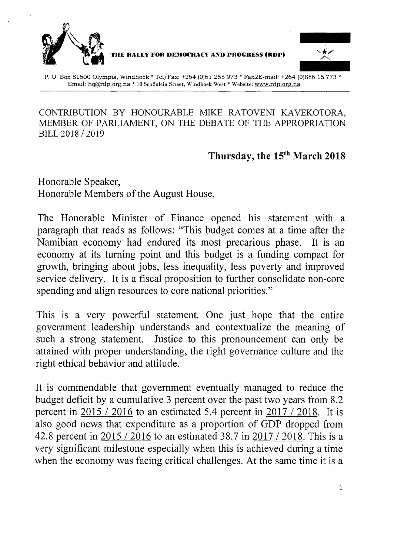



P. O. Box 81500 Olympia, Windhoek \* Tel/Fax: +264 (0)61 255973 \* Fax2E-mail: +264 (0)886 15773 \* Email: [hq@rdp.org.na](mailto:hq@rdp.org.na) • 18 Schonlcin Street, Windhoek West." Website: [www.rdp.org.na](http://www.rdp.org.na)

#### CONTRIBUTION BY HONOURABLE MIKE RATOVENI KAVEKOTORA, MEMBER OF PARLIAMENT, ON THE DEBATE OF THE APPROPRIATION BILL 2018 /2019

## **Thursday, the 15th March 2018**

Honorable Speaker, Honorable Members of the August House,

The Honorable Minister of Finance opened his statement with a paragraph that reads as follows: "This budget comes at a time after the Namibian economy had endured its most precarious phase. It is an economy at its turning point and this budget is a funding compact for growth, bringing about jobs, less inequality, less poverty and improved service delivery. It is a fiscal proposition to further consolidate non-core spending and align resources to core national priorities."

This is a very powerful statement. One just hope that the entire government leadership understands and contextualize the meaning of such a strong statement. Justice to this pronouncement can only be attained with proper understanding, the right governance culture and the right ethical behavior and attitude.

It is commendable that government eventually managed to reduce the budget deficit by a cumulative 3 percent over the past two years from 8.2 percent in 2015 / 2016 to an estimated 5.4 percent in 2017 / 2018. It is also good news that expenditure as a proportion of GDP dropped from 42.8 percent in 2015 /2016 to an estimated 38.7 in 2017 / 2018. This is a very significant milestone especially when this is achieved during a time when the economy was facing critical challenges. At the same time it is a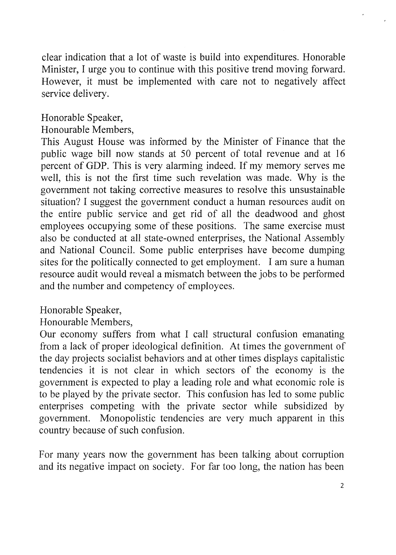clear indication that a lot of waste is build into expenditures. Honorable Minister, I urge you to continue with this positive trend moving forward. However, it must be implemented with care not to negatively affect service delivery.

## Honorable Speaker,

#### Honourable Members,

This August House was informed by the Minister of Finance that the public wage bill now stands at 50 percent of total revenue and at 16 percent of GDP. This is very alarming indeed. If my memory serves me well, this is not the first time such revelation was made. Why is the government not taking corrective measures to resolve this unsustainable situation? I suggest the government conduct a human resources audit on the entire public service and get rid of all the deadwood and ghost employees occupying some of these positions. The same exercise must also be conducted at all state-owned enterprises, the National Assembly and National Council. Some public enterprises have become dumping sites for the politically connected to get employment. I am sure a human resource audit would reveal a mismatch between the jobs to be performed and the number and competency of employees.

### Honorable Speaker,

### Honourable Members,

Our economy suffers from what I call structural confusion emanating from a lack of proper ideological definition. At times the government of the day projects socialist behaviors and at other times displays capitalistic tendencies it is not clear in which sectors of the economy is the government is expected to play a leading role and what economic role is to be played by the private sector. This confusion has led to some public enterprises competing with the private sector while subsidized by government. Monopolistic tendencies are very much apparent in this country because of such confusion.

For many years now the government has been talking about corruption and its negative impact on society. For far too long, the nation has been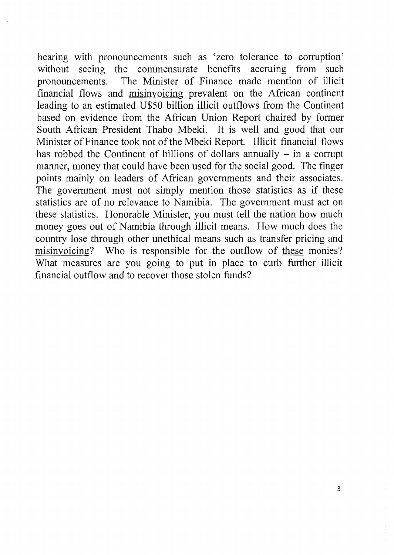hearing with pronouncements such as 'zero tolerance to corruption' without seeing the commensurate benefits accruing from such pronouncements. The Minister of Finance made mention of illicit financial flows and misinvoicing prevalent on the African continent leading to an estimated U\$50 billion illicit outflows from the Continent based on evidence from the African Union Report chaired by former South African President Thabo Mbeki. It is well and good that our Minister of Finance took not of the Mbeki Report. Illicit financial flows has robbed the Continent of billions of dollars annually  $-$  in a corrupt manner, money that could have been used for the social good. The finger points mainly on leaders of African governments and their associates. The government must not simply mention those statistics as if these statistics are of no relevance to Namibia. The government must act on these statistics. Honorable Minister, you must tell the nation how much money goes out of Namibia through illicit means. How much does the country lose through other unethical means such as transfer pricing and misinvoicing? Who is responsible for the outflow of these monies? What measures are you going to put in place to curb further illicit financial outflow and to recover those stolen funds?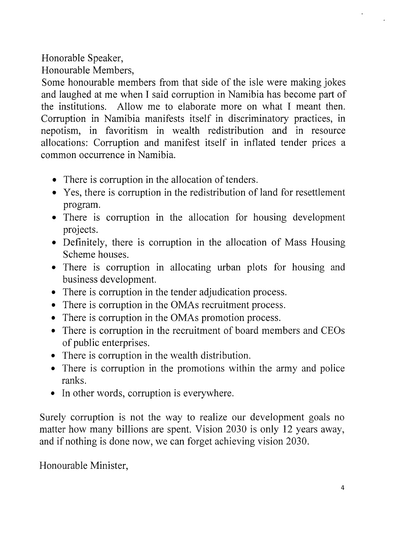Honorable Speaker,

Honourable Members,

Some honourable members from that side of the isle were making jokes and laughed at me when I said corruption in Namibia has become part of the institutions. Allow me to elaborate more on what I meant then. Corruption in Namibia manifests itself in discriminatory practices, in nepotism, in favoritism in wealth redistribution and in resource allocations: Corruption and manifest itself in inflated tender prices a common occurrence in Namibia.

- There is corruption in the allocation of tenders.
- Yes, there is corruption in the redistribution of land for resettlement program.
- There is corruption in the allocation for housing development projects.
- Definitely, there is corruption in the allocation of Mass Housing Scheme houses.
- There is corruption in allocating urban plots for housing and business development.
- There is corruption in the tender adjudication process.
- There is corruption in the OMAs recruitment process.
- There is corruption in the OMAs promotion process.
- There is corruption in the recruitment of board members and CEOs of public enterprises.
- There is corruption in the wealth distribution.
- There is corruption in the promotions within the army and police ranks.
- In other words, corruption is everywhere.

Surely corruption is not the way to realize our development goals no matter how many billions are spent. Vision 2030 is only 12 years away, and if nothing is done now, we can forget achieving vision 2030.

Honourable Minister,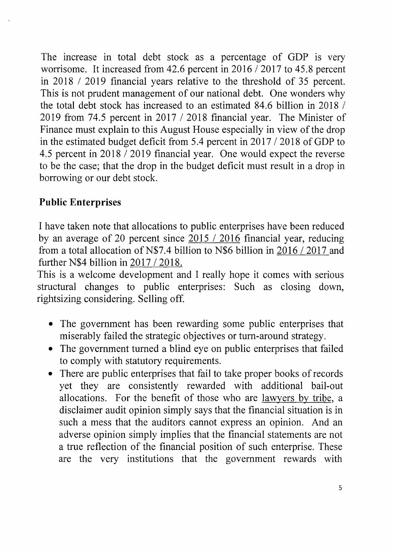The increase in total debt stock as a percentage of GDP is very worrisome. It increased from 42.6 percent in 2016 /2017 to 45.8 percent in 2018 / 2019 financial years relative to the threshold of 35 percent. This is not prudent management of our national debt. One wonders why the total debt stock has increased to an estimated 84.6 billion in 2018 / 2019 from 74.5 percent in 2017 /2018 financial year. The Minister of Finance must explain to this August House especially in view of the drop in the estimated budget deficit from 5.4 percent in 2017 / 2018 of GDP to 4.5 percent in 2018 / 2019 financial year. One would expect the reverse to be the case; that the drop in the budget deficit must result in a drop in borrowing or our debt stock.

# **Public Enterprises**

I have taken note that allocations to public enterprises have been reduced by an average of 20 percent since 2015 / 2016 financial year, reducing from a total allocation of N\$7.4 billion to N\$6 billion in 2016 / 2017 and further N\$4 billion in 2017 /2018.

This is a welcome development and I really hope it comes with serious structural changes to public enterprises: Such as closing down, rightsizing considering. Selling off.

- The government has been rewarding some public enterprises that miserably failed the strategic objectives or turn-around strategy.
- The government turned a blind eye on public enterprises that failed to comply with statutory requirements.
- There are public enterprises that fail to take proper books of records yet they are consistently rewarded with additional bail-out allocations. For the benefit of those who are lawyers by tribe, a disclaimer audit opinion simply says that the financial situation is in such a mess that the auditors cannot express an opinion. And an adverse opinion simply implies that the financial statements are not a true reflection of the financial position of such enterprise. These are the very institutions that the government rewards with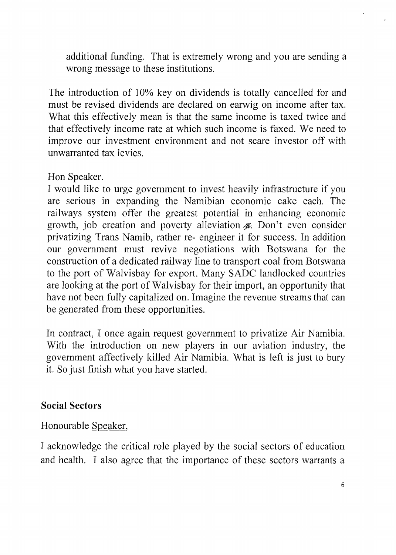additional funding. That is extremely wrong and you are sending a wrong message to these institutions.

The introduction of 10% key on dividends is totally cancelled for and must be revised dividends are declared on earwig on income after tax. What this effectively mean is that the same income is taxed twice and that effectively income rate at which such income is faxed. We need to improve our investment environment and not scare investor off with unwarranted tax levies.

Hon Speaker.

I would like to urge government to invest heavily infrastructure if you are serious in expanding the Namibian economic cake each. The railways system offer the greatest potential in enhancing economic growth, job creation and poverty alleviation  $\alpha$ . Don't even consider privatizing Trans Namib, rather re- engineer it for success. In addition our government must revive negotiations with Botswana for the construction of a dedicated railway line to transport coal from Botswana to the port of Walvisbay for export. Many SADC landlocked countries are looking at the port of Walvisbay for their import, an opportunity that have not been fully capitalized on. Imagine the revenue streams that can be generated from these opportunities.

In contract, I once again request government to privatize Air Namibia. With the introduction on new players in our aviation industry, the government affectively killed Air Namibia. What is left is just to bury it. So just finish what you have started.

# **Social Sectors**

Honourable Speaker,

I acknowledge the critical role played by the social sectors of education and health. I also agree that the importance of these sectors warrants a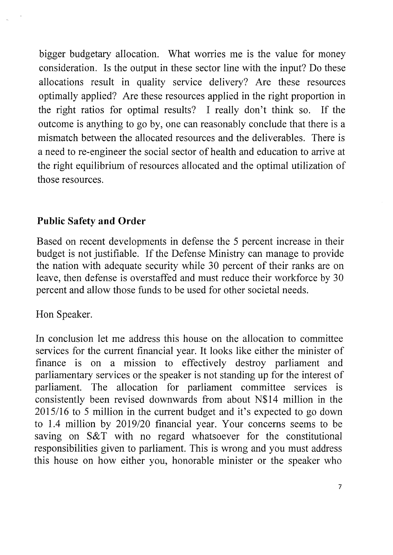bigger budgetary allocation. What worries me is the value for money consideration. Is the output in these sector line with the input? Do these allocations result in quality service delivery? Are these resources optimally applied? Are these resources applied in the right proportion in the right ratios for optimal results? I really don't think so. If the outcome is anything to go by, one can reasonably conclude that there is a mismatch between the allocated resources and the deliverables. There is a need to re-engineer the social sector of health and education to arrive at the right equilibrium of resources allocated and the optimal utilization of those resources.

## **Public Safety and Order**

Based on recent developments in defense the 5 percent increase in their budget is not justifiable. If the Defense Ministry can manage to provide the nation with adequate security while 30 percent of their ranks are on leave, then defense is overstaffed and must reduce their workforce by 30 percent and allow those funds to be used for other societal needs.

Hon Speaker.

In conclusion let me address this house on the allocation to committee services for the current financial year. It looks like either the minister of finance is on a mission to effectively destroy parliament and parliamentary services or the speaker is not standing up for the interest of parliament. The allocation for parliament committee services is consistently been revised downwards from about N\$14 million in the 2015116 to 5 million in the current budget and it's expected to go down to 1.4 million by *2019/20* financial year. Your concerns seems to be saving on S&T with no regard whatsoever for the constitutional responsibilities given to parliament. This is wrong and you must address this house on how either you, honorable minister or the speaker who